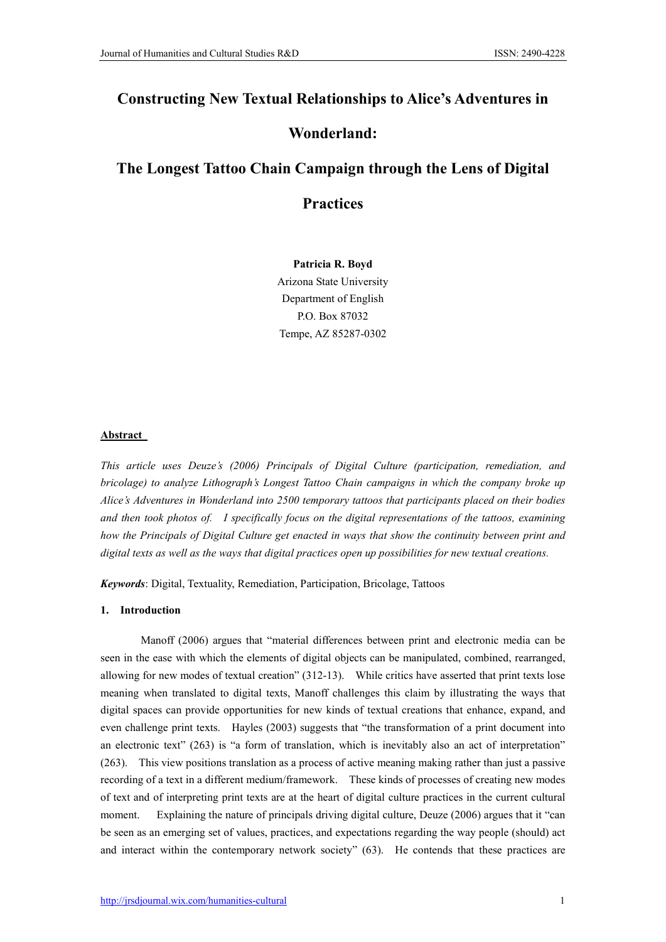## Constructing New Textual Relationships to Alice's Adventures in

## Wonderland:

# The Longest Tattoo Chain Campaign through the Lens of Digital

## **Practices**

Patricia R. Boyd Arizona State University Department of English P.O. Box 87032 Tempe, AZ 85287-0302

## Abstract

*This article uses Deuze's (2006) Principals of Digital Culture (participation, remediation, and bricolage) to analyze Lithograph's Longest Tattoo Chain campaigns in which the company broke up Alice's Adventures in Wonderland into 2500 temporary tattoos that participants placed on their bodies and then took photos of. I specifically focus on the digital representations of the tattoos, examining how the Principals of Digital Culture get enacted in ways that show the continuity between print and digital texts as well as the ways that digital practices open up possibilities for new textual creations.*

*Keywords*: Digital, Textuality, Remediation, Participation, Bricolage, Tattoos

### 1. Introduction

Manoff (2006) argues that "material differences between print and electronic media can be seen in the ease with which the elements of digital objects can be manipulated, combined, rearranged, allowing for new modes of textual creation" (312-13). While critics have asserted that print texts lose meaning when translated to digital texts, Manoff challenges this claim by illustrating the ways that digital spaces can provide opportunities for new kinds of textual creations that enhance, expand, and even challenge print texts. Hayles (2003) suggests that "the transformation of a print document into an electronic text" (263) is "a form of translation, which is inevitably also an act of interpretation" (263). This view positions translation as a process of active meaning making rather than just a passive recording of a text in a different medium/framework. These kinds of processes of creating new modes of text and of interpreting print texts are at the heart of digital culture practices in the current cultural moment. Explaining the nature of principals driving digital culture, Deuze (2006) argues that it "can be seen as an emerging set of values, practices, and expectations regarding the way people (should) act and interact within the contemporary network society" (63). He contends that these practices are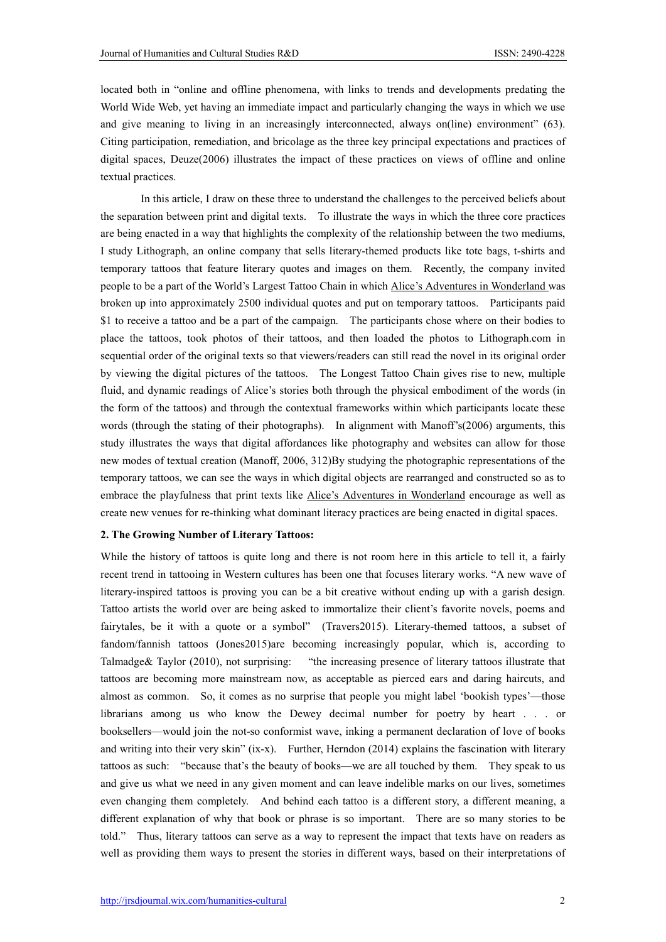located both in "online and offline phenomena, with links to trends and developments predating the World Wide Web, yet having an immediate impact and particularly changing the ways in which we use and give meaning to living in an increasingly interconnected, always on(line) environment" (63). Citing participation, remediation, and bricolage as the three key principal expectations and practices of digital spaces, Deuze(2006) illustrates the impact of these practices on views of offline and online textual practices.

In this article, I draw on these three to understand the challenges to the perceived beliefs about the separation between print and digital texts. To illustrate the ways in which the three core practices are being enacted in a way that highlights the complexity of the relationship between the two mediums, I study Lithograph, an online company that sells literary-themed products like tote bags, t-shirts and temporary tattoos that feature literary quotes and images on them. Recently, the company invited people to be a part of the World's Largest Tattoo Chain in which Alice's Adventures in Wonderland was broken up into approximately 2500 individual quotes and put on temporary tattoos. Participants paid \$1 to receive a tattoo and be a part of the campaign. The participants chose where on their bodies to place the tattoos, took photos of their tattoos, and then loaded the photos to Lithograph.com in sequential order of the original texts so that viewers/readers can still read the novel in its original order by viewing the digital pictures of the tattoos. The Longest Tattoo Chain gives rise to new, multiple fluid, and dynamic readings of Alice's stories both through the physical embodiment of the words (in the form of the tattoos) and through the contextual frameworks within which participants locate these words (through the stating of their photographs). In alignment with Manoff's(2006) arguments, this study illustrates the ways that digital affordances like photography and websites can allow for those new modes of textual creation (Manoff, 2006, 312)By studying the photographic representations of the temporary tattoos, we can see the ways in which digital objects are rearranged and constructed so as to embrace the playfulness that print texts like Alice's Adventures in Wonderland encourage as well as create new venues for re-thinking what dominant literacy practices are being enacted in digital spaces.

### 2. The Growing Number of Literary Tattoos:

While the history of tattoos is quite long and there is not room here in this article to tell it, a fairly recent trend in tattooing in Western cultures has been one that focuses literary works. "A new wave of literary-inspired tattoos is proving you can be a bit creative without ending up with a garish design. Tattoo artists the world over are being asked to immortalize their client's favorite novels, poems and fairytales, be it with a quote or a symbol" (Travers2015). Literary-themed tattoos, a subset of fandom/fannish tattoos (Jones2015)are becoming increasingly popular, which is, according to Talmadge& Taylor (2010), not surprising: "the increasing presence of literary tattoos illustrate that tattoos are becoming more mainstream now, as acceptable as pierced ears and daring haircuts, and almost as common. So, it comes as no surprise that people you might label 'bookish types'—those librarians among us who know the Dewey decimal number for poetry by heart . . . or booksellers—would join the not-so conformist wave, inking a permanent declaration of love of books and writing into their very skin" (ix-x). Further, Herndon (2014) explains the fascination with literary tattoos as such: "because that's the beauty of books—we are all touched by them. They speak to us and give us what we need in any given moment and can leave indelible marks on our lives, sometimes even changing them completely. And behind each tattoo is a different story, a different meaning, a different explanation of why that book or phrase is so important. There are so many stories to be told." Thus, literary tattoos can serve as a way to represent the impact that texts have on readers as well as providing them ways to present the stories in different ways, based on their interpretations of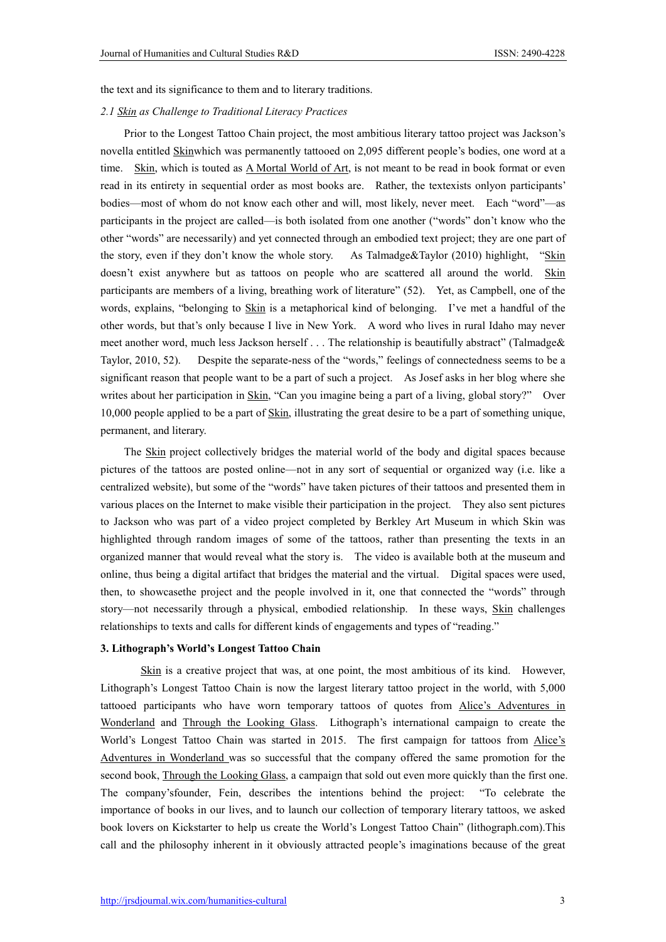the text and its significance to them and to literary traditions.

#### *2.1 Skin as Challenge to Traditional Literacy Practices*

Prior to the Longest Tattoo Chain project, the most ambitious literary tattoo project was Jackson's novella entitled Skinwhich was permanently tattooed on 2,095 different people's bodies, one word at a time. Skin, which is touted as A Mortal World of Art, is not meant to be read in book format or even read in its entirety in sequential order as most books are. Rather, the textexists onlyon participants' bodies—most of whom do not know each other and will, most likely, never meet. Each "word"—as participants in the project are called—is both isolated from one another ("words" don't know who the other "words" are necessarily) and yet connected through an embodied text project; they are one part of the story, even if they don't know the whole story. As Talmadge&Taylor (2010) highlight, "Skin doesn't exist anywhere but as tattoos on people who are scattered all around the world. Skin participants are members of a living, breathing work of literature" (52). Yet, as Campbell, one of the words, explains, "belonging to Skin is a metaphorical kind of belonging. I've met a handful of the other words, but that's only because I live in New York. A word who lives in rural Idaho may never meet another word, much less Jackson herself . . . The relationship is beautifully abstract" (Talmadge& Taylor, 2010, 52). Despite the separate-ness of the "words," feelings of connectedness seems to be a significant reason that people want to be a part of such a project. As Josef asks in her blog where she writes about her participation in Skin, "Can you imagine being a part of a living, global story?" Over 10,000 people applied to be a part of Skin, illustrating the great desire to be a part of something unique, permanent, and literary.

The Skin project collectively bridges the material world of the body and digital spaces because pictures of the tattoos are posted online—not in any sort of sequential or organized way (i.e. like a centralized website), but some of the "words" have taken pictures of their tattoos and presented them in various places on the Internet to make visible their participation in the project. They also sent pictures to Jackson who was part of a video project completed by Berkley Art Museum in which Skin was highlighted through random images of some of the tattoos, rather than presenting the texts in an organized manner that would reveal what the story is. The video is available both at the museum and online, thus being a digital artifact that bridges the material and the virtual. Digital spaces were used, then, to showcasethe project and the people involved in it, one that connected the "words" through story—not necessarily through a physical, embodied relationship. In these ways, Skin challenges relationships to texts and calls for different kinds of engagements and types of "reading."

#### 3. Lithograph's World's Longest Tattoo Chain

Skin is a creative project that was, at one point, the most ambitious of its kind. However, Lithograph's Longest Tattoo Chain is now the largest literary tattoo project in the world, with 5,000 tattooed participants who have worn temporary tattoos of quotes from Alice's Adventures in Wonderland and Through the Looking Glass. Lithograph's international campaign to create the World's Longest Tattoo Chain was started in 2015. The first campaign for tattoos from Alice's Adventures in Wonderland was so successful that the company offered the same promotion for the second book, Through the Looking Glass, a campaign that sold out even more quickly than the first one. The company'sfounder, Fein, describes the intentions behind the project: "To celebrate the importance of books in our lives, and to launch our collection of temporary literary tattoos, we asked book lovers on Kickstarter to help us create the World's Longest Tattoo Chain" (lithograph.com).This call and the philosophy inherent in it obviously attracted people's imaginations because of the great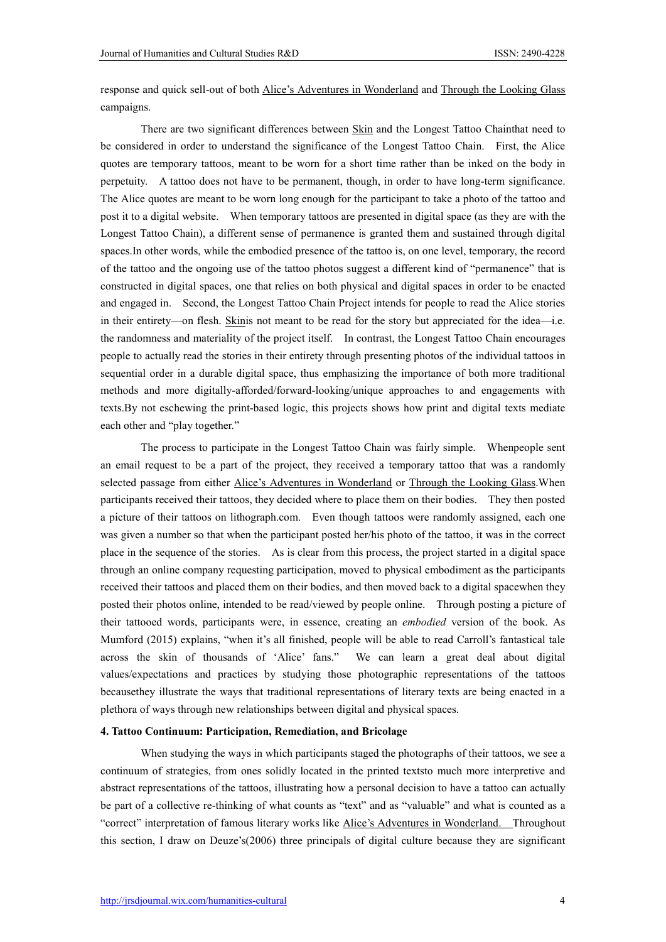response and quick sell-out of both Alice's Adventures in Wonderland and Through the Looking Glass campaigns.

There are two significant differences between Skin and the Longest Tattoo Chainthat need to be considered in order to understand the significance of the Longest Tattoo Chain. First, the Alice quotes are temporary tattoos, meant to be worn for a short time rather than be inked on the body in perpetuity. A tattoo does not have to be permanent, though, in order to have long-term significance. The Alice quotes are meant to be worn long enough for the participant to take a photo of the tattoo and post it to a digital website. When temporary tattoos are presented in digital space (as they are with the Longest Tattoo Chain), a different sense of permanence is granted them and sustained through digital spaces.In other words, while the embodied presence of the tattoo is, on one level, temporary, the record of the tattoo and the ongoing use of the tattoo photos suggest a different kind of "permanence" that is constructed in digital spaces, one that relies on both physical and digital spaces in order to be enacted and engaged in. Second, the Longest Tattoo Chain Project intends for people to read the Alice stories in their entirety—on flesh. Skinis not meant to be read for the story but appreciated for the idea—i.e. the randomness and materiality of the project itself. In contrast, the Longest Tattoo Chain encourages people to actually read the stories in their entirety through presenting photos of the individual tattoos in sequential order in a durable digital space, thus emphasizing the importance of both more traditional methods and more digitally-afforded/forward-looking/unique approaches to and engagements with texts.By not eschewing the print-based logic, this projects shows how print and digital texts mediate each other and "play together."

The process to participate in the Longest Tattoo Chain was fairly simple. Whenpeople sent an email request to be a part of the project, they received a temporary tattoo that was a randomly selected passage from either Alice's Adventures in Wonderland or Through the Looking Glass.When participants received their tattoos, they decided where to place them on their bodies. They then posted a picture of their tattoos on lithograph.com. Even though tattoos were randomly assigned, each one was given a number so that when the participant posted her/his photo of the tattoo, it was in the correct place in the sequence of the stories. As is clear from this process, the project started in a digital space through an online company requesting participation, moved to physical embodiment as the participants received their tattoos and placed them on their bodies, and then moved back to a digital spacewhen they posted their photos online, intended to be read/viewed by people online. Through posting a picture of their tattooed words, participants were, in essence, creating an *embodied* version of the book. As Mumford (2015) explains, "when it's all finished, people will be able to read Carroll's fantastical tale across the skin of thousands of 'Alice' fans." We can learn a great deal about digital values/expectations and practices by studying those photographic representations of the tattoos becausethey illustrate the ways that traditional representations of literary texts are being enacted in a plethora of ways through new relationships between digital and physical spaces.

#### 4. Tattoo Continuum: Participation, Remediation, and Bricolage

When studying the ways in which participants staged the photographs of their tattoos, we see a continuum of strategies, from ones solidly located in the printed textsto much more interpretive and abstract representations of the tattoos, illustrating how a personal decision to have a tattoo can actually be part of a collective re-thinking of what counts as "text" and as "valuable" and what is counted as a "correct" interpretation of famous literary works like Alice's Adventures in Wonderland. Throughout this section, I draw on Deuze's(2006) three principals of digital culture because they are significant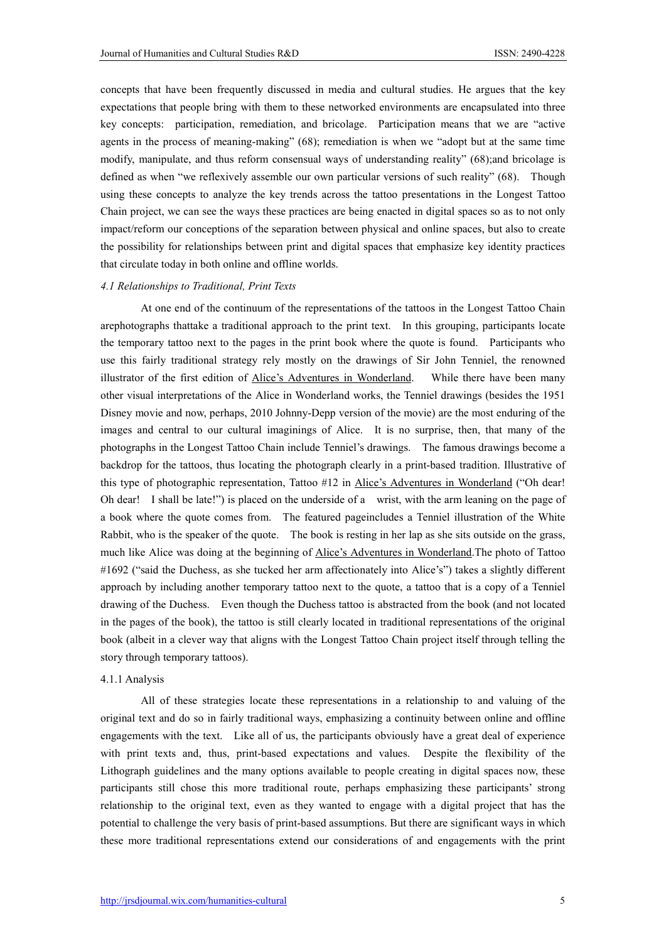concepts that have been frequently discussed in media and cultural studies. He argues that the key expectations that people bring with them to these networked environments are encapsulated into three key concepts: participation, remediation, and bricolage. Participation means that we are "active agents in the process of meaning-making" (68); remediation is when we "adopt but at the same time modify, manipulate, and thus reform consensual ways of understanding reality" (68);and bricolage is defined as when "we reflexively assemble our own particular versions of such reality" (68). Though using these concepts to analyze the key trends across the tattoo presentations in the Longest Tattoo Chain project, we can see the ways these practices are being enacted in digital spaces so as to not only impact/reform our conceptions of the separation between physical and online spaces, but also to create the possibility for relationships between print and digital spaces that emphasize key identity practices that circulate today in both online and offline worlds.

#### *4.1 Relationships to Traditional, Print Texts*

At one end of the continuum of the representations of the tattoos in the Longest Tattoo Chain arephotographs thattake a traditional approach to the print text. In this grouping, participants locate the temporary tattoo next to the pages in the print book where the quote is found. Participants who use this fairly traditional strategy rely mostly on the drawings of Sir John Tenniel, the renowned illustrator of the first edition of Alice's Adventures in Wonderland. While there have been many other visual interpretations of the Alice in Wonderland works, the Tenniel drawings (besides the 1951 Disney movie and now, perhaps, 2010 Johnny-Depp version of the movie) are the most enduring of the images and central to our cultural imaginings of Alice. It is no surprise, then, that many of the photographs in the Longest Tattoo Chain include Tenniel's drawings. The famous drawings become a backdrop for the tattoos, thus locating the photograph clearly in a print-based tradition. Illustrative of this type of photographic representation, Tattoo #12 in Alice's Adventures in Wonderland ("Oh dear! Oh dear! I shall be late!") is placed on the underside of a wrist, with the arm leaning on the page of a book where the quote comes from. The featured pageincludes a Tenniel illustration of the White Rabbit, who is the speaker of the quote. The book is resting in her lap as she sits outside on the grass, much like Alice was doing at the beginning of Alice's Adventures in Wonderland.The photo of Tattoo #1692 ("said the Duchess, as she tucked her arm affectionately into Alice's") takes a slightly different approach by including another temporary tattoo next to the quote, a tattoo that is a copy of a Tenniel drawing of the Duchess. Even though the Duchess tattoo is abstracted from the book (and not located in the pages of the book), the tattoo is still clearly located in traditional representations of the original book (albeit in a clever way that aligns with the Longest Tattoo Chain project itself through telling the story through temporary tattoos).

#### 4.1.1 Analysis

All of these strategies locate these representations in a relationship to and valuing of the original text and do so in fairly traditional ways, emphasizing a continuity between online and offline engagements with the text. Like all of us, the participants obviously have a great deal of experience with print texts and, thus, print-based expectations and values. Despite the flexibility of the Lithograph guidelines and the many options available to people creating in digital spaces now, these participants still chose this more traditional route, perhaps emphasizing these participants' strong relationship to the original text, even as they wanted to engage with a digital project that has the potential to challenge the very basis of print-based assumptions. But there are significant ways in which these more traditional representations extend our considerations of and engagements with the print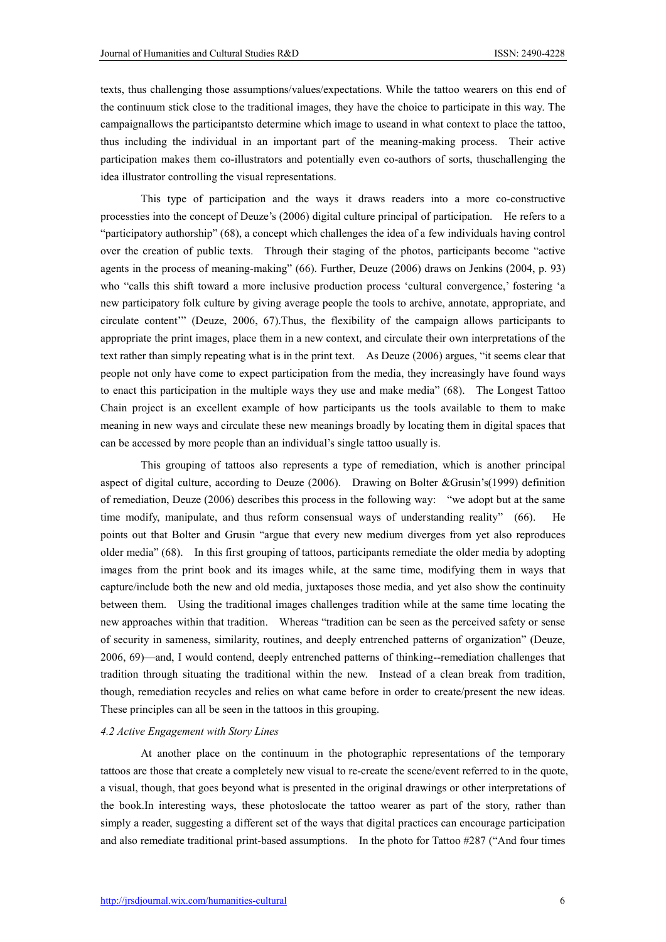texts, thus challenging those assumptions/values/expectations. While the tattoo wearers on this end of the continuum stick close to the traditional images, they have the choice to participate in this way. The campaignallows the participantsto determine which image to useand in what context to place the tattoo, thus including the individual in an important part of the meaning-making process. Their active participation makes them co-illustrators and potentially even co-authors of sorts, thuschallenging the idea illustrator controlling the visual representations.

This type of participation and the ways it draws readers into a more co-constructive processties into the concept of Deuze's (2006) digital culture principal of participation. He refers to a "participatory authorship" (68), a concept which challenges the idea of a few individuals having control over the creation of public texts. Through their staging of the photos, participants become "active agents in the process of meaning-making" (66). Further, Deuze (2006) draws on Jenkins (2004, p. 93) who "calls this shift toward a more inclusive production process 'cultural convergence,' fostering 'a new participatory folk culture by giving average people the tools to archive, annotate, appropriate, and circulate content'" (Deuze, 2006, 67).Thus, the flexibility of the campaign allows participants to appropriate the print images, place them in a new context, and circulate their own interpretations of the text rather than simply repeating what is in the print text. As Deuze (2006) argues, "it seems clear that people not only have come to expect participation from the media, they increasingly have found ways to enact this participation in the multiple ways they use and make media" (68). The Longest Tattoo Chain project is an excellent example of how participants us the tools available to them to make meaning in new ways and circulate these new meanings broadly by locating them in digital spaces that can be accessed by more people than an individual's single tattoo usually is.

This grouping of tattoos also represents a type of remediation, which is another principal aspect of digital culture, according to Deuze (2006). Drawing on Bolter &Grusin's(1999) definition of remediation, Deuze (2006) describes this process in the following way: "we adopt but at the same time modify, manipulate, and thus reform consensual ways of understanding reality" (66). points out that Bolter and Grusin "argue that every new medium diverges from yet also reproduces older media" (68). In this first grouping of tattoos, participants remediate the older media by adopting images from the print book and its images while, at the same time, modifying them in ways that capture/include both the new and old media, juxtaposes those media, and yet also show the continuity between them. Using the traditional images challenges tradition while at the same time locating the new approaches within that tradition. Whereas "tradition can be seen as the perceived safety or sense of security in sameness, similarity, routines, and deeply entrenched patterns of organization" (Deuze, 2006, 69)—and, I would contend, deeply entrenched patterns of thinking--remediation challenges that tradition through situating the traditional within the new. Instead of a clean break from tradition, though, remediation recycles and relies on what came before in order to create/present the new ideas. These principles can all be seen in the tattoos in this grouping.

#### *4.2 Active Engagement with Story Lines*

At another place on the continuum in the photographic representations of the temporary tattoos are those that create a completely new visual to re-create the scene/event referred to in the quote, a visual, though, that goes beyond what is presented in the original drawings or other interpretations of the book.In interesting ways, these photoslocate the tattoo wearer as part of the story, rather than simply a reader, suggesting a different set of the ways that digital practices can encourage participation and also remediate traditional print-based assumptions. In the photo for Tattoo #287 ("And four times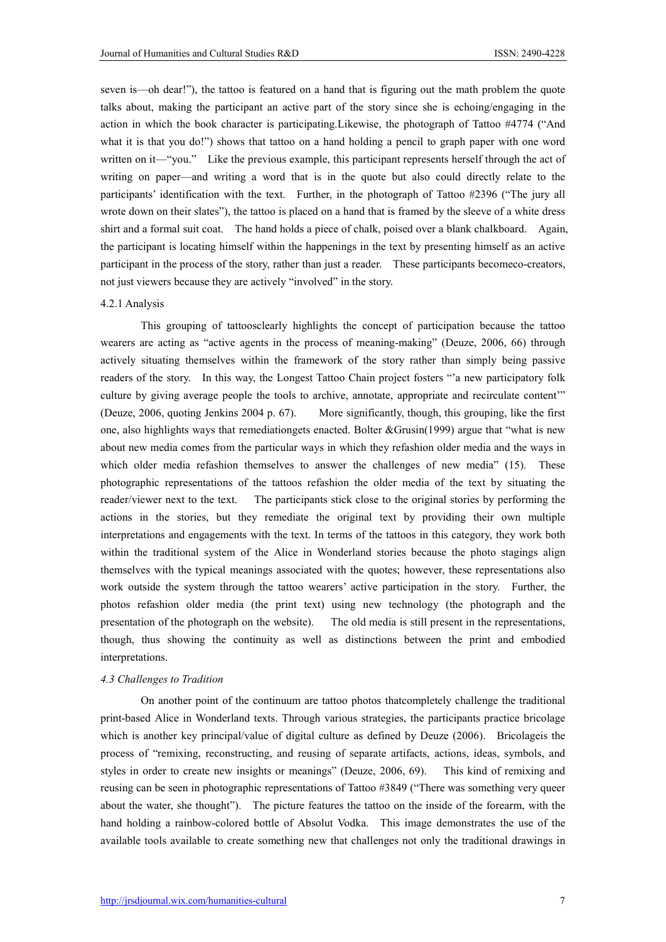seven is—oh dear!"), the tattoo is featured on a hand that is figuring out the math problem the quote talks about, making the participant an active part of the story since she is echoing/engaging in the action in which the book character is participating.Likewise, the photograph of Tattoo #4774 ("And what it is that you do!") shows that tattoo on a hand holding a pencil to graph paper with one word written on it—"you." Like the previous example, this participant represents herself through the act of writing on paper—and writing a word that is in the quote but also could directly relate to the participants' identification with the text. Further, in the photograph of Tattoo #2396 ("The jury all wrote down on their slates"), the tattoo is placed on a hand that is framed by the sleeve of a white dress shirt and a formal suit coat. The hand holds a piece of chalk, poised over a blank chalkboard. Again, the participant is locating himself within the happenings in the text by presenting himself as an active participant in the process of the story, rather than just a reader. These participants becomeco-creators, not just viewers because they are actively "involved" in the story.

#### 4.2.1 Analysis

This grouping of tattoosclearly highlights the concept of participation because the tattoo wearers are acting as "active agents in the process of meaning-making" (Deuze, 2006, 66) through actively situating themselves within the framework of the story rather than simply being passive readers of the story. In this way, the Longest Tattoo Chain project fosters "'a new participatory folk culture by giving average people the tools to archive, annotate, appropriate and recirculate content'" (Deuze, 2006, quoting Jenkins 2004 p. 67). More significantly, though, this grouping, like the first one, also highlights ways that remediationgets enacted. Bolter &Grusin(1999) argue that "what is new about new media comes from the particular ways in which they refashion older media and the ways in which older media refashion themselves to answer the challenges of new media" (15). These photographic representations of the tattoos refashion the older media of the text by situating the reader/viewer next to the text. The participants stick close to the original stories by performing the actions in the stories, but they remediate the original text by providing their own multiple interpretations and engagements with the text. In terms of the tattoos in this category, they work both within the traditional system of the Alice in Wonderland stories because the photo stagings align themselves with the typical meanings associated with the quotes; however, these representations also work outside the system through the tattoo wearers' active participation in the story. Further, the photos refashion older media (the print text) using new technology (the photograph and the presentation of the photograph on the website). The old media is still present in the representations, though, thus showing the continuity as well as distinctions between the print and embodied interpretations.

### *4.3 Challenges to Tradition*

On another point of the continuum are tattoo photos thatcompletely challenge the traditional print-based Alice in Wonderland texts. Through various strategies, the participants practice bricolage which is another key principal/value of digital culture as defined by Deuze (2006). Bricolageis the process of "remixing, reconstructing, and reusing of separate artifacts, actions, ideas, symbols, and styles in order to create new insights or meanings" (Deuze, 2006, 69). This kind of remixing and reusing can be seen in photographic representations of Tattoo #3849 ("There was something very queer about the water, she thought"). The picture features the tattoo on the inside of the forearm, with the hand holding a rainbow-colored bottle of Absolut Vodka. This image demonstrates the use of the available tools available to create something new that challenges not only the traditional drawings in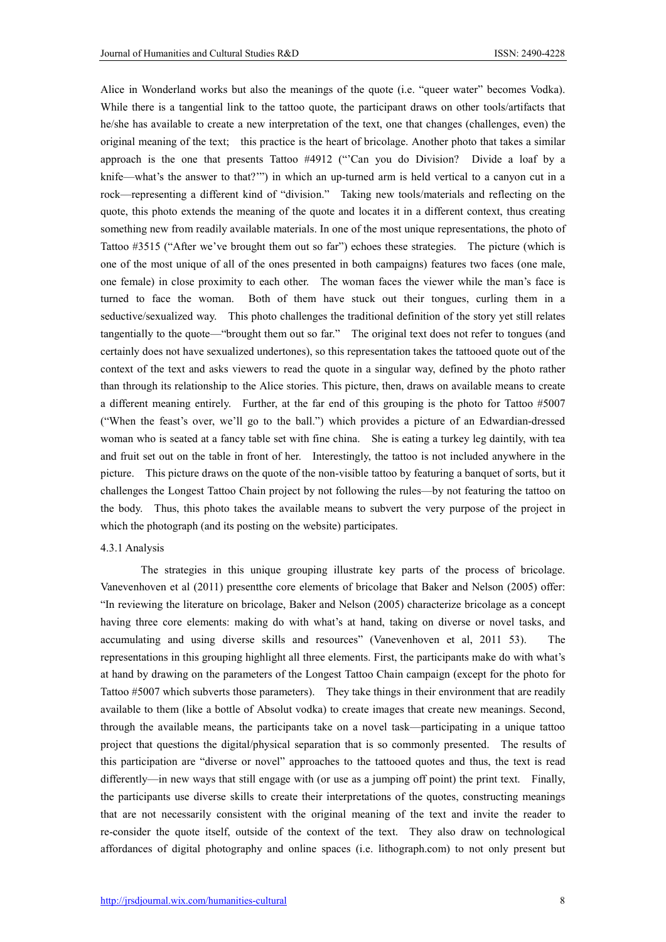Alice in Wonderland works but also the meanings of the quote (i.e. "queer water" becomes Vodka). While there is a tangential link to the tattoo quote, the participant draws on other tools/artifacts that he/she has available to create a new interpretation of the text, one that changes (challenges, even) the original meaning of the text; this practice is the heart of bricolage. Another photo that takes a similar approach is the one that presents Tattoo #4912 ("'Can you do Division? Divide a loaf by a knife—what's the answer to that?'") in which an up-turned arm is held vertical to a canyon cut in a rock—representing a different kind of "division." Taking new tools/materials and reflecting on the quote, this photo extends the meaning of the quote and locates it in a different context, thus creating something new from readily available materials. In one of the most unique representations, the photo of Tattoo #3515 ("After we've brought them out so far") echoes these strategies. The picture (which is one of the most unique of all of the ones presented in both campaigns) features two faces (one male, one female) in close proximity to each other. The woman faces the viewer while the man's face is turned to face the woman. Both of them have stuck out their tongues, curling them in a seductive/sexualized way. This photo challenges the traditional definition of the story yet still relates tangentially to the quote—"brought them out so far." The original text does not refer to tongues (and certainly does not have sexualized undertones), so this representation takes the tattooed quote out of the context of the text and asks viewers to read the quote in a singular way, defined by the photo rather than through its relationship to the Alice stories. This picture, then, draws on available means to create a different meaning entirely. Further, at the far end of this grouping is the photo for Tattoo #5007 ("When the feast's over, we'll go to the ball.") which provides a picture of an Edwardian-dressed woman who is seated at a fancy table set with fine china. She is eating a turkey leg daintily, with tea and fruit set out on the table in front of her. Interestingly, the tattoo is not included anywhere in the picture. This picture draws on the quote of the non-visible tattoo by featuring a banquet of sorts, but it challenges the Longest Tattoo Chain project by not following the rules—by not featuring the tattoo on the body. Thus, this photo takes the available means to subvert the very purpose of the project in which the photograph (and its posting on the website) participates.

#### 4.3.1 Analysis

The strategies in this unique grouping illustrate key parts of the process of bricolage. Vanevenhoven et al (2011) presentthe core elements of bricolage that Baker and Nelson (2005) offer: "In reviewing the literature on bricolage, Baker and Nelson (2005) characterize bricolage as a concept having three core elements: making do with what's at hand, taking on diverse or novel tasks, and accumulating and using diverse skills and resources" (Vanevenhoven et al, 2011 53). The representations in this grouping highlight all three elements. First, the participants make do with what's at hand by drawing on the parameters of the Longest Tattoo Chain campaign (except for the photo for Tattoo #5007 which subverts those parameters). They take things in their environment that are readily available to them (like a bottle of Absolut vodka) to create images that create new meanings. Second, through the available means, the participants take on a novel task—participating in a unique tattoo project that questions the digital/physical separation that is so commonly presented. The results of this participation are "diverse or novel" approaches to the tattooed quotes and thus, the text is read differently—in new ways that still engage with (or use as a jumping off point) the print text. Finally, the participants use diverse skills to create their interpretations of the quotes, constructing meanings that are not necessarily consistent with the original meaning of the text and invite the reader to re-consider the quote itself, outside of the context of the text. They also draw on technological affordances of digital photography and online spaces (i.e. lithograph.com) to not only present but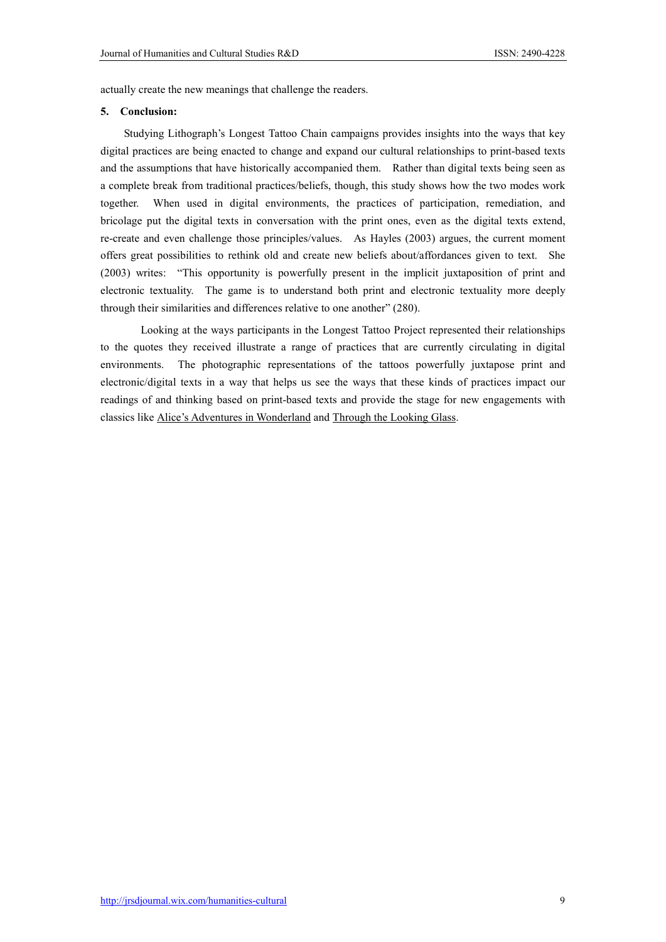actually create the new meanings that challenge the readers.

## 5. Conclusion:

Studying Lithograph's Longest Tattoo Chain campaigns provides insights into the ways that key digital practices are being enacted to change and expand our cultural relationships to print-based texts and the assumptions that have historically accompanied them. Rather than digital texts being seen as a complete break from traditional practices/beliefs, though, this study shows how the two modes work together. When used in digital environments, the practices of participation, remediation, and bricolage put the digital texts in conversation with the print ones, even as the digital texts extend, re-create and even challenge those principles/values. As Hayles (2003) argues, the current moment offers great possibilities to rethink old and create new beliefs about/affordances given to text. She (2003) writes: "This opportunity is powerfully present in the implicit juxtaposition of print and electronic textuality. The game is to understand both print and electronic textuality more deeply through their similarities and differences relative to one another" (280).

Looking at the ways participants in the Longest Tattoo Project represented their relationships to the quotes they received illustrate a range of practices that are currently circulating in digital environments. The photographic representations of the tattoos powerfully juxtapose print and electronic/digital texts in a way that helps us see the ways that these kinds of practices impact our readings of and thinking based on print-based texts and provide the stage for new engagements with classics like Alice's Adventures in Wonderland and Through the Looking Glass.